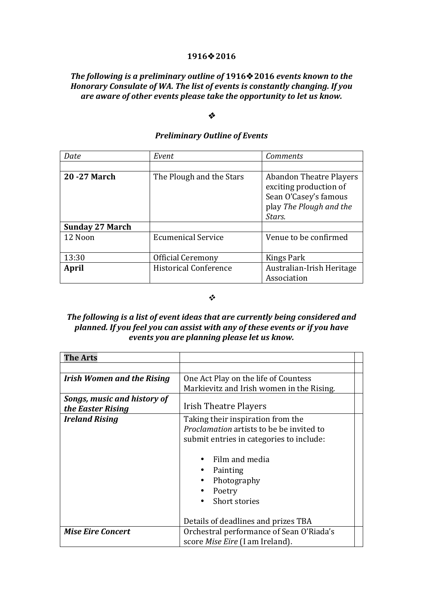#### **1916**v**2016**

## *The following is a preliminary outline of* 1916 $*$  2016 *events known to the Honorary Consulate of WA. The list of events is constantly changing. If you* are aware of other events please take the opportunity to let us know.

#### $\mathbf{v}^*$

### *Preliminary Outline of Events*

| Date                   | Event                        | <b>Comments</b>                                                                                                        |
|------------------------|------------------------------|------------------------------------------------------------------------------------------------------------------------|
|                        |                              |                                                                                                                        |
| <b>20 - 27 March</b>   | The Plough and the Stars     | <b>Abandon Theatre Players</b><br>exciting production of<br>Sean O'Casey's famous<br>play The Plough and the<br>Stars. |
| <b>Sunday 27 March</b> |                              |                                                                                                                        |
| 12 Noon                | <b>Ecumenical Service</b>    | Venue to be confirmed                                                                                                  |
| 13:30                  | <b>Official Ceremony</b>     | Kings Park                                                                                                             |
| April                  | <b>Historical Conference</b> | Australian-Irish Heritage<br>Association                                                                               |

#### $\cdot$

# The following is a list of event ideas that are currently being considered and *planned.* If you feel you can assist with any of these events or if you have *events you are planning please let us know.*

| <b>The Arts</b>                                  |                                                                                                                                                                                                          |  |
|--------------------------------------------------|----------------------------------------------------------------------------------------------------------------------------------------------------------------------------------------------------------|--|
|                                                  |                                                                                                                                                                                                          |  |
| <b>Irish Women and the Rising</b>                | One Act Play on the life of Countess                                                                                                                                                                     |  |
|                                                  | Markievitz and Irish women in the Rising.                                                                                                                                                                |  |
| Songs, music and history of<br>the Easter Rising | <b>Irish Theatre Players</b>                                                                                                                                                                             |  |
| <b>Ireland Rising</b>                            | Taking their inspiration from the<br><i>Proclamation</i> artists to be be invited to<br>submit entries in categories to include:<br>Film and media<br>Painting<br>Photography<br>Poetry<br>Short stories |  |
|                                                  | Details of deadlines and prizes TBA                                                                                                                                                                      |  |
| <b>Mise Eire Concert</b>                         | Orchestral performance of Sean O'Riada's<br>score <i>Mise Eire</i> (I am Ireland).                                                                                                                       |  |